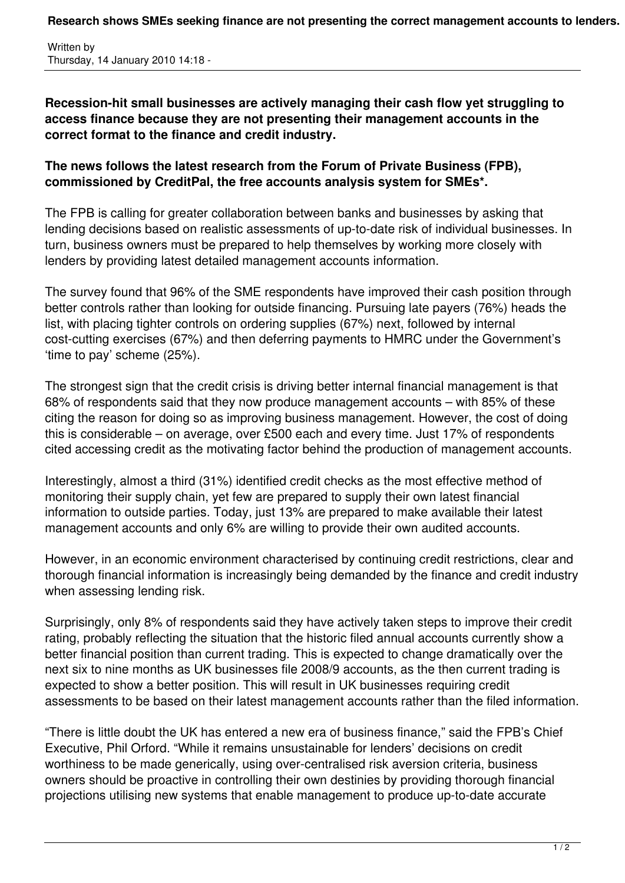**Research shows SMEs seeking finance are not presenting the correct management accounts to lenders.**

Written by Thursday, 14 January 2010 14:18 -

**Recession-hit small businesses are actively managing their cash flow yet struggling to access finance because they are not presenting their management accounts in the correct format to the finance and credit industry.**

## **The news follows the latest research from the Forum of Private Business (FPB), commissioned by CreditPal, the free accounts analysis system for SMEs\*.**

The FPB is calling for greater collaboration between banks and businesses by asking that lending decisions based on realistic assessments of up-to-date risk of individual businesses. In turn, business owners must be prepared to help themselves by working more closely with lenders by providing latest detailed management accounts information.

The survey found that 96% of the SME respondents have improved their cash position through better controls rather than looking for outside financing. Pursuing late payers (76%) heads the list, with placing tighter controls on ordering supplies (67%) next, followed by internal cost-cutting exercises (67%) and then deferring payments to HMRC under the Government's 'time to pay' scheme (25%).

The strongest sign that the credit crisis is driving better internal financial management is that 68% of respondents said that they now produce management accounts – with 85% of these citing the reason for doing so as improving business management. However, the cost of doing this is considerable – on average, over £500 each and every time. Just 17% of respondents cited accessing credit as the motivating factor behind the production of management accounts.

Interestingly, almost a third (31%) identified credit checks as the most effective method of monitoring their supply chain, yet few are prepared to supply their own latest financial information to outside parties. Today, just 13% are prepared to make available their latest management accounts and only 6% are willing to provide their own audited accounts.

However, in an economic environment characterised by continuing credit restrictions, clear and thorough financial information is increasingly being demanded by the finance and credit industry when assessing lending risk.

Surprisingly, only 8% of respondents said they have actively taken steps to improve their credit rating, probably reflecting the situation that the historic filed annual accounts currently show a better financial position than current trading. This is expected to change dramatically over the next six to nine months as UK businesses file 2008/9 accounts, as the then current trading is expected to show a better position. This will result in UK businesses requiring credit assessments to be based on their latest management accounts rather than the filed information.

"There is little doubt the UK has entered a new era of business finance," said the FPB's Chief Executive, Phil Orford. "While it remains unsustainable for lenders' decisions on credit worthiness to be made generically, using over-centralised risk aversion criteria, business owners should be proactive in controlling their own destinies by providing thorough financial projections utilising new systems that enable management to produce up-to-date accurate